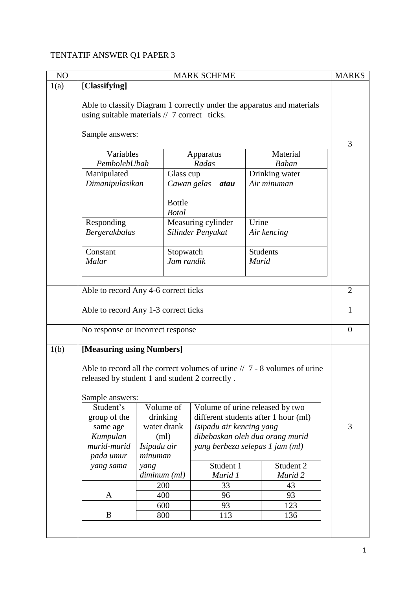## TENTATIF ANSWER Q1 PAPER 3

| NO   | <b>MARK SCHEME</b>                                                          |                      |                                      |                 |                      | <b>MARKS</b>   |
|------|-----------------------------------------------------------------------------|----------------------|--------------------------------------|-----------------|----------------------|----------------|
| 1(a) | [Classifying]                                                               |                      |                                      |                 |                      |                |
|      | Able to classify Diagram 1 correctly under the apparatus and materials      |                      |                                      |                 |                      |                |
|      | using suitable materials $// 7$ correct ticks.                              |                      |                                      |                 |                      |                |
|      |                                                                             |                      |                                      |                 |                      |                |
|      | Sample answers:                                                             |                      |                                      |                 |                      | 3              |
|      | Variables<br>Material<br>Apparatus                                          |                      |                                      |                 |                      |                |
|      | PembolehUbah                                                                |                      | Radas                                |                 | <b>Bahan</b>         |                |
|      | Manipulated                                                                 | Glass cup            |                                      |                 | Drinking water       |                |
|      | Dimanipulasikan                                                             |                      | Cawan gelas atau                     |                 | Air minuman          |                |
|      |                                                                             | <b>Bottle</b>        |                                      |                 |                      |                |
|      |                                                                             | <b>Botol</b>         |                                      |                 |                      |                |
|      | Responding                                                                  |                      | Measuring cylinder                   | Urine           |                      |                |
|      | <b>Bergerakbalas</b>                                                        |                      | Silinder Penyukat                    |                 | Air kencing          |                |
|      | Constant                                                                    | Stopwatch            |                                      | <b>Students</b> |                      |                |
|      | Malar                                                                       | Jam randik           |                                      | <b>Murid</b>    |                      |                |
|      |                                                                             |                      |                                      |                 |                      |                |
|      |                                                                             |                      |                                      |                 |                      |                |
|      | Able to record Any 4-6 correct ticks                                        |                      |                                      |                 |                      | $\overline{2}$ |
|      | Able to record Any 1-3 correct ticks                                        |                      |                                      |                 |                      | $\mathbf{1}$   |
|      | No response or incorrect response                                           |                      |                                      |                 |                      | $\overline{0}$ |
|      |                                                                             |                      |                                      |                 |                      |                |
| 1(b) | [Measuring using Numbers]                                                   |                      |                                      |                 |                      |                |
|      | Able to record all the correct volumes of urine $// 7 - 8$ volumes of urine |                      |                                      |                 |                      |                |
|      | released by student 1 and student 2 correctly.                              |                      |                                      |                 |                      |                |
|      | Sample answers:                                                             |                      |                                      |                 |                      |                |
|      | Student's                                                                   | Volume of            | Volume of urine released by two      |                 |                      |                |
|      | group of the                                                                | drinking             | different students after 1 hour (ml) |                 |                      |                |
|      | same age                                                                    | water drank          | Isipadu air kencing yang             |                 |                      | 3              |
|      | Kumpulan                                                                    | (ml)                 | dibebaskan oleh dua orang murid      |                 |                      |                |
|      | murid-murid                                                                 | Isipadu air          | yang berbeza selepas 1 jam (ml)      |                 |                      |                |
|      | pada umur                                                                   | minuman              |                                      |                 |                      |                |
|      | yang sama                                                                   | yang<br>diminum (ml) | Student 1<br>Murid 1                 |                 | Student 2<br>Murid 2 |                |
|      |                                                                             | 200                  | 33                                   |                 | 43                   |                |
|      | A                                                                           | 400                  | 96                                   |                 | 93                   |                |
|      |                                                                             | 600                  | 93                                   |                 | 123                  |                |
|      | B                                                                           | 800                  | 113                                  |                 | 136                  |                |
|      |                                                                             |                      |                                      |                 |                      |                |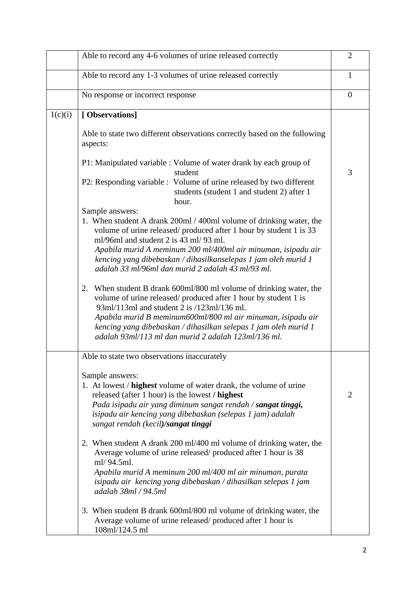|         | Able to record any 4-6 volumes of urine released correctly                                                                                                                                                                                                                                                                                                                                     | $\overline{2}$ |
|---------|------------------------------------------------------------------------------------------------------------------------------------------------------------------------------------------------------------------------------------------------------------------------------------------------------------------------------------------------------------------------------------------------|----------------|
|         | Able to record any 1-3 volumes of urine released correctly                                                                                                                                                                                                                                                                                                                                     | 1              |
|         | No response or incorrect response                                                                                                                                                                                                                                                                                                                                                              | $\overline{0}$ |
| 1(c)(i) | [Observations]                                                                                                                                                                                                                                                                                                                                                                                 |                |
|         | Able to state two different observations correctly based on the following<br>aspects:                                                                                                                                                                                                                                                                                                          |                |
|         | P1: Manipulated variable : Volume of water drank by each group of<br>student                                                                                                                                                                                                                                                                                                                   | 3              |
|         | P2: Responding variable : Volume of urine released by two different<br>students (student 1 and student 2) after 1<br>hour.                                                                                                                                                                                                                                                                     |                |
|         | Sample answers:<br>1. When student A drank 200ml / 400ml volume of drinking water, the<br>volume of urine released/ produced after 1 hour by student 1 is 33<br>ml/96ml and student 2 is 43 ml/ 93 ml.<br>Apabila murid A meminum 200 ml/400ml air minuman, isipadu air<br>kencing yang dibebaskan / dihasilkanselepas 1 jam oleh murid 1<br>adalah 33 ml/96ml dan murid 2 adalah 43 ml/93 ml. |                |
|         | When student B drank 600ml/800 ml volume of drinking water, the<br>2.<br>volume of urine released/ produced after 1 hour by student 1 is<br>93ml/113ml and student 2 is /123ml/136 ml.<br>Apabila murid B meminum600ml/800 ml air minuman, isipadu air<br>kencing yang dibebaskan / dihasilkan selepas 1 jam oleh murid 1<br>adalah 93ml/113 ml dan murid 2 adalah 123ml/136 ml.               |                |
|         | Able to state two observations inaccurately                                                                                                                                                                                                                                                                                                                                                    |                |
|         | Sample answers:<br>1. At lowest / <b>highest</b> volume of water drank, the volume of urine<br>released (after 1 hour) is the lowest / highest<br>Pada isipadu air yang diminum sangat rendah / sangat tinggi,<br>isipadu air kencing yang dibebaskan (selepas 1 jam) adalah<br>sangat rendah (kecil)/sangat tinggi                                                                            | $\overline{2}$ |
|         | 2. When student A drank 200 ml/400 ml volume of drinking water, the<br>Average volume of urine released/produced after 1 hour is 38<br>ml/94.5ml.<br>Apabila murid A meminum 200 ml/400 ml air minuman, purata<br>isipadu air kencing yang dibebaskan / dihasilkan selepas 1 jam<br>adalah 38ml / 94.5ml                                                                                       |                |
|         | 3. When student B drank 600ml/800 ml volume of drinking water, the<br>Average volume of urine released/produced after 1 hour is<br>108ml/124.5 ml                                                                                                                                                                                                                                              |                |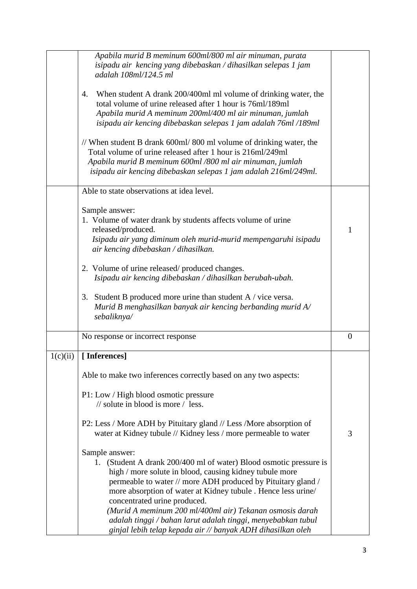|          | Apabila murid B meminum 600ml/800 ml air minuman, purata<br>isipadu air kencing yang dibebaskan / dihasilkan selepas 1 jam<br>adalah 108ml/124.5 ml                                                                                                                                                                                                                                                                                                                                                         |          |
|----------|-------------------------------------------------------------------------------------------------------------------------------------------------------------------------------------------------------------------------------------------------------------------------------------------------------------------------------------------------------------------------------------------------------------------------------------------------------------------------------------------------------------|----------|
|          | When student A drank 200/400ml ml volume of drinking water, the<br>4.<br>total volume of urine released after 1 hour is 76ml/189ml<br>Apabila murid A meminum 200ml/400 ml air minuman, jumlah<br>isipadu air kencing dibebaskan selepas 1 jam adalah 76ml /189ml                                                                                                                                                                                                                                           |          |
|          | // When student B drank 600ml/800 ml volume of drinking water, the<br>Total volume of urine released after 1 hour is 216ml/249ml<br>Apabila murid B meminum 600ml /800 ml air minuman, jumlah<br>isipadu air kencing dibebaskan selepas 1 jam adalah 216ml/249ml.                                                                                                                                                                                                                                           |          |
|          | Able to state observations at idea level.                                                                                                                                                                                                                                                                                                                                                                                                                                                                   |          |
|          | Sample answer:<br>1. Volume of water drank by students affects volume of urine<br>released/produced.<br>Isipadu air yang diminum oleh murid-murid mempengaruhi isipadu<br>air kencing dibebaskan / dihasilkan.                                                                                                                                                                                                                                                                                              | 1        |
|          | 2. Volume of urine released/produced changes.<br>Isipadu air kencing dibebaskan / dihasilkan berubah-ubah.                                                                                                                                                                                                                                                                                                                                                                                                  |          |
|          | 3. Student B produced more urine than student A / vice versa.<br>Murid B menghasilkan banyak air kencing berbanding murid $A$<br>sebaliknya/                                                                                                                                                                                                                                                                                                                                                                |          |
|          | No response or incorrect response                                                                                                                                                                                                                                                                                                                                                                                                                                                                           | $\theta$ |
| 1(c)(ii) | [Inferences]                                                                                                                                                                                                                                                                                                                                                                                                                                                                                                |          |
|          | Able to make two inferences correctly based on any two aspects:                                                                                                                                                                                                                                                                                                                                                                                                                                             |          |
|          | P1: Low / High blood osmotic pressure<br>$\frac{1}{2}$ solute in blood is more $\frac{1}{2}$ less.                                                                                                                                                                                                                                                                                                                                                                                                          |          |
|          | P2: Less / More ADH by Pituitary gland // Less / More absorption of<br>water at Kidney tubule // Kidney less / more permeable to water                                                                                                                                                                                                                                                                                                                                                                      | 3        |
|          | Sample answer:<br>1. (Student A drank 200/400 ml of water) Blood osmotic pressure is<br>high / more solute in blood, causing kidney tubule more<br>permeable to water // more ADH produced by Pituitary gland /<br>more absorption of water at Kidney tubule . Hence less urine/<br>concentrated urine produced.<br>(Murid A meminum 200 ml/400ml air) Tekanan osmosis darah<br>adalah tinggi / bahan larut adalah tinggi, menyebabkan tubul<br>ginjal lebih telap kepada air // banyak ADH dihasilkan oleh |          |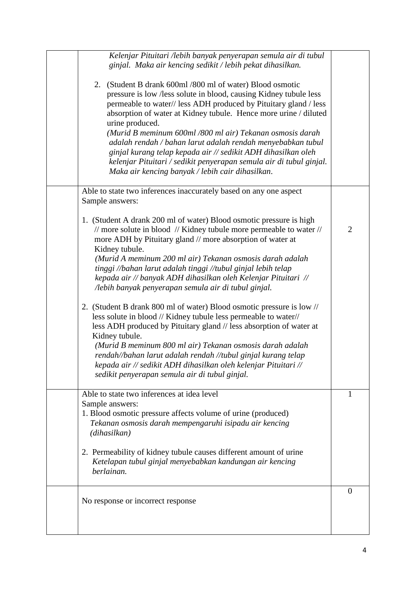| Kelenjar Pituitari /lebih banyak penyerapan semula air di tubul<br>ginjal. Maka air kencing sedikit / lebih pekat dihasilkan.<br>2. (Student B drank 600ml / 800 ml of water) Blood osmotic<br>pressure is low /less solute in blood, causing Kidney tubule less<br>permeable to water// less ADH produced by Pituitary gland / less<br>absorption of water at Kidney tubule. Hence more urine / diluted<br>urine produced.<br>(Murid B meminum 600ml /800 ml air) Tekanan osmosis darah<br>adalah rendah / bahan larut adalah rendah menyebabkan tubul<br>ginjal kurang telap kepada air // sedikit ADH dihasilkan oleh<br>kelenjar Pituitari / sedikit penyerapan semula air di tubul ginjal.<br>Maka air kencing banyak / lebih cair dihasilkan.                                                                                                                                                                                                                        |                |
|----------------------------------------------------------------------------------------------------------------------------------------------------------------------------------------------------------------------------------------------------------------------------------------------------------------------------------------------------------------------------------------------------------------------------------------------------------------------------------------------------------------------------------------------------------------------------------------------------------------------------------------------------------------------------------------------------------------------------------------------------------------------------------------------------------------------------------------------------------------------------------------------------------------------------------------------------------------------------|----------------|
| Able to state two inferences inaccurately based on any one aspect<br>Sample answers:                                                                                                                                                                                                                                                                                                                                                                                                                                                                                                                                                                                                                                                                                                                                                                                                                                                                                       |                |
| 1. (Student A drank 200 ml of water) Blood osmotic pressure is high<br>// more solute in blood // Kidney tubule more permeable to water //<br>more ADH by Pituitary gland // more absorption of water at<br>Kidney tubule.<br>(Murid A meminum 200 ml air) Tekanan osmosis darah adalah<br>tinggi //bahan larut adalah tinggi //tubul ginjal lebih telap<br>kepada air // banyak ADH dihasilkan oleh Kelenjar Pituitari //<br>/lebih banyak penyerapan semula air di tubul ginjal.<br>2. (Student B drank 800 ml of water) Blood osmotic pressure is low //<br>less solute in blood // Kidney tubule less permeable to water//<br>less ADH produced by Pituitary gland // less absorption of water at<br>Kidney tubule.<br>(Murid B meminum 800 ml air) Tekanan osmosis darah adalah<br>rendah//bahan larut adalah rendah //tubul ginjal kurang telap<br>kepada air // sedikit ADH dihasilkan oleh kelenjar Pituitari //<br>sedikit penyerapan semula air di tubul ginjal. | $\overline{2}$ |
| Able to state two inferences at idea level<br>Sample answers:<br>1. Blood osmotic pressure affects volume of urine (produced)<br>Tekanan osmosis darah mempengaruhi isipadu air kencing<br>(dihasilkan)<br>2. Permeability of kidney tubule causes different amount of urine<br>Ketelapan tubul ginjal menyebabkan kandungan air kencing                                                                                                                                                                                                                                                                                                                                                                                                                                                                                                                                                                                                                                   | 1              |
| berlainan.                                                                                                                                                                                                                                                                                                                                                                                                                                                                                                                                                                                                                                                                                                                                                                                                                                                                                                                                                                 |                |
| No response or incorrect response                                                                                                                                                                                                                                                                                                                                                                                                                                                                                                                                                                                                                                                                                                                                                                                                                                                                                                                                          | $\overline{0}$ |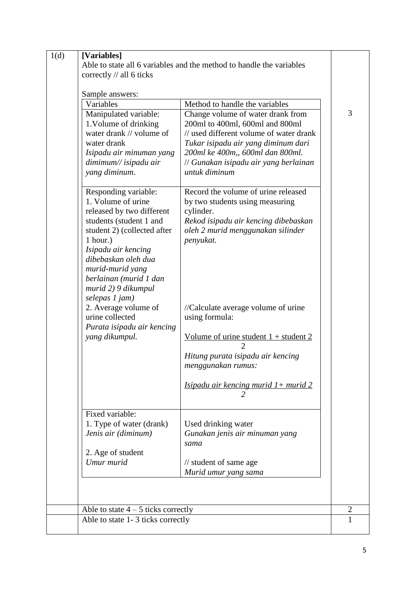| Variables                                                                                                                                                                                                                                                                                                                                                                     |                                                                                                                                                                                                                                                                                                                                                                                                                            |
|-------------------------------------------------------------------------------------------------------------------------------------------------------------------------------------------------------------------------------------------------------------------------------------------------------------------------------------------------------------------------------|----------------------------------------------------------------------------------------------------------------------------------------------------------------------------------------------------------------------------------------------------------------------------------------------------------------------------------------------------------------------------------------------------------------------------|
|                                                                                                                                                                                                                                                                                                                                                                               | Method to handle the variables                                                                                                                                                                                                                                                                                                                                                                                             |
| Manipulated variable:<br>1. Volume of drinking<br>water drank // volume of<br>water drank<br>Isipadu air minuman yang<br>dimimum// isipadu air<br>yang diminum.                                                                                                                                                                                                               | Change volume of water drank from<br>200ml to 400ml, 600ml and 800ml<br>// used different volume of water drank<br>Tukar isipadu air yang diminum dari<br>200ml ke 400m,, 600ml dan 800ml.<br>// Gunakan isipadu air yang berlainan<br>untuk diminum                                                                                                                                                                       |
| Responding variable:<br>1. Volume of urine<br>released by two different<br>students (student 1 and<br>student 2) (collected after<br>1 hour.)<br>Isipadu air kencing<br>dibebaskan oleh dua<br>murid-murid yang<br>berlainan (murid 1 dan<br>murid 2) 9 dikumpul<br>selepas 1 jam)<br>2. Average volume of<br>urine collected<br>Purata isipadu air kencing<br>yang dikumpul. | Record the volume of urine released<br>by two students using measuring<br>cylinder.<br>Rekod isipadu air kencing dibebaskan<br>oleh 2 murid menggunakan silinder<br>penyukat.<br>//Calculate average volume of urine<br>using formula:<br><u>Volume of urine student <math>1 +</math> student 2</u><br>Hitung purata isipadu air kencing<br>menggunakan rumus:<br><u>Isipadu air kencing murid <math>1+</math> murid 2</u> |
| Fixed variable:                                                                                                                                                                                                                                                                                                                                                               |                                                                                                                                                                                                                                                                                                                                                                                                                            |
| 1. Type of water (drank)<br>Jenis air (diminum)                                                                                                                                                                                                                                                                                                                               | Used drinking water<br>Gunakan jenis air minuman yang<br>sama                                                                                                                                                                                                                                                                                                                                                              |
| 2. Age of student<br>Umur murid                                                                                                                                                                                                                                                                                                                                               |                                                                                                                                                                                                                                                                                                                                                                                                                            |
|                                                                                                                                                                                                                                                                                                                                                                               | // student of same age                                                                                                                                                                                                                                                                                                                                                                                                     |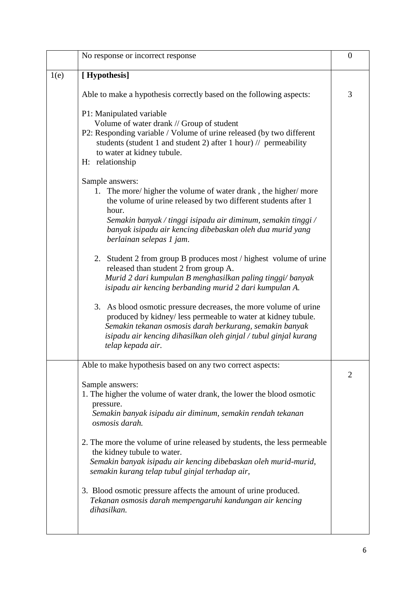|      | No response or incorrect response                                                                                                                                                                                                                                                                                     | $\boldsymbol{0}$ |
|------|-----------------------------------------------------------------------------------------------------------------------------------------------------------------------------------------------------------------------------------------------------------------------------------------------------------------------|------------------|
| 1(e) | [Hypothesis]                                                                                                                                                                                                                                                                                                          |                  |
|      | Able to make a hypothesis correctly based on the following aspects:                                                                                                                                                                                                                                                   | 3                |
|      | P1: Manipulated variable<br>Volume of water drank // Group of student<br>P2: Responding variable / Volume of urine released (by two different<br>students (student 1 and student 2) after 1 hour) $\frac{1}{\sqrt{2}}$ permeability<br>to water at kidney tubule.<br>H: relationship                                  |                  |
|      | Sample answers:<br>1. The more/higher the volume of water drank, the higher/more<br>the volume of urine released by two different students after 1<br>hour.<br>Semakin banyak / tinggi isipadu air diminum, semakin tinggi /<br>banyak isipadu air kencing dibebaskan oleh dua murid yang<br>berlainan selepas 1 jam. |                  |
|      | 2. Student 2 from group B produces most / highest volume of urine<br>released than student 2 from group A.<br>Murid 2 dari kumpulan B menghasilkan paling tinggi/banyak<br>isipadu air kencing berbanding murid 2 dari kumpulan A.                                                                                    |                  |
|      | 3. As blood osmotic pressure decreases, the more volume of urine<br>produced by kidney/less permeable to water at kidney tubule.<br>Semakin tekanan osmosis darah berkurang, semakin banyak<br>isipadu air kencing dihasilkan oleh ginjal / tubul ginjal kurang<br>telap kepada air.                                  |                  |
|      | Able to make hypothesis based on any two correct aspects:                                                                                                                                                                                                                                                             | $\overline{2}$   |
|      | Sample answers:<br>1. The higher the volume of water drank, the lower the blood osmotic<br>pressure.<br>Semakin banyak isipadu air diminum, semakin rendah tekanan<br>osmosis darah.                                                                                                                                  |                  |
|      | 2. The more the volume of urine released by students, the less permeable<br>the kidney tubule to water.<br>Semakin banyak isipadu air kencing dibebaskan oleh murid-murid,<br>semakin kurang telap tubul ginjal terhadap air,                                                                                         |                  |
|      | 3. Blood osmotic pressure affects the amount of urine produced.<br>Tekanan osmosis darah mempengaruhi kandungan air kencing<br>dihasilkan.                                                                                                                                                                            |                  |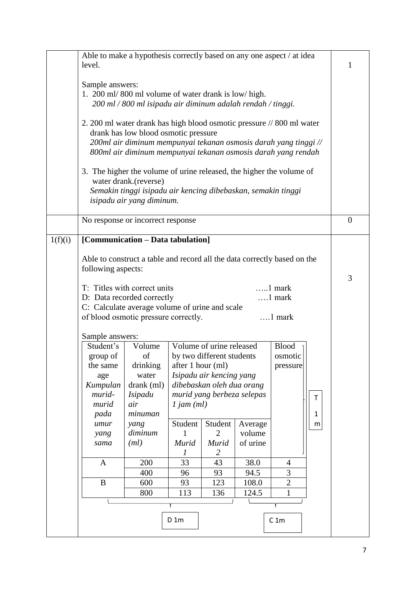|         | Able to make a hypothesis correctly based on any one aspect / at idea                                         |                                                                                            |                   |                                |                    |                 |   |          |
|---------|---------------------------------------------------------------------------------------------------------------|--------------------------------------------------------------------------------------------|-------------------|--------------------------------|--------------------|-----------------|---|----------|
|         | level.                                                                                                        |                                                                                            |                   |                                |                    |                 |   | 1        |
|         | Sample answers:                                                                                               |                                                                                            |                   |                                |                    |                 |   |          |
|         |                                                                                                               | 1. 200 ml/800 ml volume of water drank is low/high.                                        |                   |                                |                    |                 |   |          |
|         | 200 ml / 800 ml isipadu air diminum adalah rendah / tinggi.                                                   |                                                                                            |                   |                                |                    |                 |   |          |
|         |                                                                                                               |                                                                                            |                   |                                |                    |                 |   |          |
|         | 2. 200 ml water drank has high blood osmotic pressure // 800 ml water<br>drank has low blood osmotic pressure |                                                                                            |                   |                                |                    |                 |   |          |
|         |                                                                                                               | 200ml air diminum mempunyai tekanan osmosis darah yang tinggi //                           |                   |                                |                    |                 |   |          |
|         | 800ml air diminum mempunyai tekanan osmosis darah yang rendah                                                 |                                                                                            |                   |                                |                    |                 |   |          |
|         |                                                                                                               |                                                                                            |                   |                                |                    |                 |   |          |
|         |                                                                                                               | 3. The higher the volume of urine released, the higher the volume of                       |                   |                                |                    |                 |   |          |
|         |                                                                                                               | water drank.(reverse)                                                                      |                   |                                |                    |                 |   |          |
|         |                                                                                                               | Semakin tinggi isipadu air kencing dibebaskan, semakin tinggi<br>isipadu air yang diminum. |                   |                                |                    |                 |   |          |
|         |                                                                                                               |                                                                                            |                   |                                |                    |                 |   |          |
|         |                                                                                                               | No response or incorrect response                                                          |                   |                                |                    |                 |   | $\theta$ |
|         |                                                                                                               |                                                                                            |                   |                                |                    |                 |   |          |
| 1(f)(i) |                                                                                                               | [Communication - Data tabulation]                                                          |                   |                                |                    |                 |   |          |
|         |                                                                                                               | Able to construct a table and record all the data correctly based on the                   |                   |                                |                    |                 |   |          |
|         | following aspects:                                                                                            |                                                                                            |                   |                                |                    |                 |   |          |
|         |                                                                                                               |                                                                                            |                   |                                |                    |                 |   | 3        |
|         |                                                                                                               | T: Titles with correct units                                                               |                   |                                |                    | $\dots$ 1 mark  |   |          |
|         | D: Data recorded correctly<br>$\dots$ 1 mark                                                                  |                                                                                            |                   |                                |                    |                 |   |          |
|         | C: Calculate average volume of urine and scale<br>of blood osmotic pressure correctly.<br>$\dots$ 1 mark      |                                                                                            |                   |                                |                    |                 |   |          |
|         |                                                                                                               |                                                                                            |                   |                                |                    |                 |   |          |
|         | Sample answers:                                                                                               |                                                                                            |                   |                                |                    |                 |   |          |
|         | Student's                                                                                                     | Volume                                                                                     |                   | Volume of urine released       |                    | <b>Blood</b>    |   |          |
|         | group of                                                                                                      | of                                                                                         |                   | by two different students      |                    | osmotic         |   |          |
|         | the same                                                                                                      | drinking<br>water                                                                          | after 1 hour (ml) | Isipadu air kencing yang       |                    | pressure        |   |          |
|         | age<br>Kumpulan                                                                                               | drank (ml)                                                                                 |                   | dibebaskan oleh dua orang      |                    |                 |   |          |
|         | murid-                                                                                                        | <i>Isipadu</i>                                                                             |                   | murid yang berbeza selepas     |                    |                 | T |          |
|         | murid                                                                                                         | air                                                                                        | $1$ jam $(ml)$    |                                |                    |                 |   |          |
|         | pada                                                                                                          | minuman                                                                                    |                   |                                |                    |                 | 1 |          |
|         | umur                                                                                                          | yang                                                                                       | Student           | Student                        | Average            |                 | m |          |
|         | yang<br>sama                                                                                                  | diminum<br>(ml)                                                                            | 1<br>Murid        | $\overline{2}$<br><b>Murid</b> | volume<br>of urine |                 |   |          |
|         |                                                                                                               |                                                                                            | 7                 | 2                              |                    |                 |   |          |
|         | A                                                                                                             | 200                                                                                        | 33                | 43                             | 38.0               | 4               |   |          |
|         |                                                                                                               | 400                                                                                        | 96                | 93                             | 94.5               | 3               |   |          |
|         | $\bf{B}$                                                                                                      | 600                                                                                        | 93                | 123                            | 108.0              | $\overline{2}$  |   |          |
|         |                                                                                                               | 800                                                                                        | 113               | 136                            | 124.5              | $\mathbf{1}$    |   |          |
|         |                                                                                                               |                                                                                            |                   |                                |                    |                 |   |          |
|         |                                                                                                               |                                                                                            | $D_1m$            |                                |                    | C <sub>1m</sub> |   |          |
|         |                                                                                                               |                                                                                            |                   |                                |                    |                 |   |          |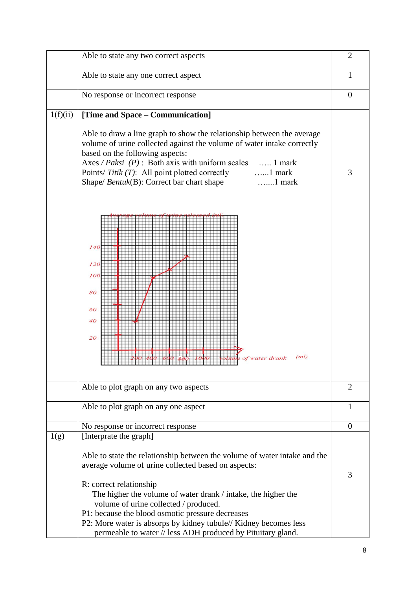|          | Able to state any two correct aspects                                                                                                                                                                                                                                                                                                                                                                                                                                                    | $\overline{2}$ |
|----------|------------------------------------------------------------------------------------------------------------------------------------------------------------------------------------------------------------------------------------------------------------------------------------------------------------------------------------------------------------------------------------------------------------------------------------------------------------------------------------------|----------------|
|          | Able to state any one correct aspect                                                                                                                                                                                                                                                                                                                                                                                                                                                     | 1              |
|          | No response or incorrect response                                                                                                                                                                                                                                                                                                                                                                                                                                                        | $\theta$       |
| 1(f)(ii) | [Time and Space – Communication]<br>Able to draw a line graph to show the relationship between the average<br>volume of urine collected against the volume of water intake correctly<br>based on the following aspects:<br>Axes / Paksi $(P)$ : Both axis with uniform scales  1 mark<br>Points/ Titik (T): All point plotted correctly 1 mark<br>Shape/ Bentuk(B): Correct bar chart shape<br>$\dots$ 1 mark<br>140<br>120<br>100<br>80<br>60<br>40<br>20<br>(ml)<br>une of water drank | 3              |
|          | Able to plot graph on any two aspects                                                                                                                                                                                                                                                                                                                                                                                                                                                    | $\overline{2}$ |
|          | Able to plot graph on any one aspect                                                                                                                                                                                                                                                                                                                                                                                                                                                     | 1              |
|          | No response or incorrect response                                                                                                                                                                                                                                                                                                                                                                                                                                                        | $\theta$       |
| 1(g)     | [Interprate the graph]                                                                                                                                                                                                                                                                                                                                                                                                                                                                   |                |
|          | Able to state the relationship between the volume of water intake and the<br>average volume of urine collected based on aspects:<br>R: correct relationship<br>The higher the volume of water drank / intake, the higher the                                                                                                                                                                                                                                                             | 3              |
|          | volume of urine collected / produced.<br>P1: because the blood osmotic pressure decreases                                                                                                                                                                                                                                                                                                                                                                                                |                |
|          | P2: More water is absorps by kidney tubule// Kidney becomes less<br>permeable to water // less ADH produced by Pituitary gland.                                                                                                                                                                                                                                                                                                                                                          |                |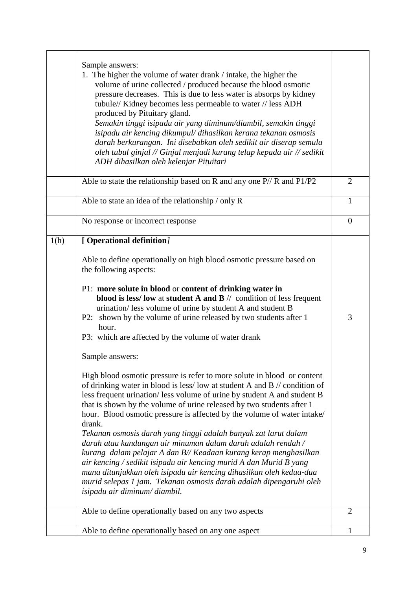|      | Sample answers:<br>1. The higher the volume of water drank / intake, the higher the<br>volume of urine collected / produced because the blood osmotic<br>pressure decreases. This is due to less water is absorps by kidney<br>tubule// Kidney becomes less permeable to water // less ADH<br>produced by Pituitary gland.<br>Semakin tinggi isipadu air yang diminum/diambil, semakin tinggi<br>isipadu air kencing dikumpul/ dihasilkan kerana tekanan osmosis<br>darah berkurangan. Ini disebabkan oleh sedikit air diserap semula<br>oleh tubul ginjal // Ginjal menjadi kurang telap kepada air // sedikit<br>ADH dihasilkan oleh kelenjar Pituitari                                                                                                                                                                                                                                                                                                                                                                                                                                                                                                                                                                                                                                                                                       |                |
|------|-------------------------------------------------------------------------------------------------------------------------------------------------------------------------------------------------------------------------------------------------------------------------------------------------------------------------------------------------------------------------------------------------------------------------------------------------------------------------------------------------------------------------------------------------------------------------------------------------------------------------------------------------------------------------------------------------------------------------------------------------------------------------------------------------------------------------------------------------------------------------------------------------------------------------------------------------------------------------------------------------------------------------------------------------------------------------------------------------------------------------------------------------------------------------------------------------------------------------------------------------------------------------------------------------------------------------------------------------|----------------|
|      | Able to state the relationship based on R and any one $P/$ R and $P1/P2$                                                                                                                                                                                                                                                                                                                                                                                                                                                                                                                                                                                                                                                                                                                                                                                                                                                                                                                                                                                                                                                                                                                                                                                                                                                                        | $\overline{2}$ |
|      | Able to state an idea of the relationship / only R                                                                                                                                                                                                                                                                                                                                                                                                                                                                                                                                                                                                                                                                                                                                                                                                                                                                                                                                                                                                                                                                                                                                                                                                                                                                                              | $\mathbf{1}$   |
|      | No response or incorrect response                                                                                                                                                                                                                                                                                                                                                                                                                                                                                                                                                                                                                                                                                                                                                                                                                                                                                                                                                                                                                                                                                                                                                                                                                                                                                                               | $\overline{0}$ |
| 1(h) | [Operational definition]<br>Able to define operationally on high blood osmotic pressure based on<br>the following aspects:<br>P1: more solute in blood or content of drinking water in<br>blood is less/low at student A and B $//$ condition of less frequent<br>urination/ less volume of urine by student A and student B<br>P2: shown by the volume of urine released by two students after 1<br>hour.<br>P3: which are affected by the volume of water drank<br>Sample answers:<br>High blood osmotic pressure is refer to more solute in blood or content<br>of drinking water in blood is less/low at student A and B // condition of<br>less frequent urination/less volume of urine by student A and student B<br>that is shown by the volume of urine released by two students after 1<br>hour. Blood osmotic pressure is affected by the volume of water intake/<br>drank.<br>Tekanan osmosis darah yang tinggi adalah banyak zat larut dalam<br>darah atau kandungan air minuman dalam darah adalah rendah /<br>kurang dalam pelajar A dan B// Keadaan kurang kerap menghasilkan<br>air kencing / sedikit isipadu air kencing murid A dan Murid B yang<br>mana ditunjukkan oleh isipadu air kencing dihasilkan oleh kedua-dua<br>murid selepas 1 jam. Tekanan osmosis darah adalah dipengaruhi oleh<br>isipadu air diminum/diambil. | 3              |
|      | Able to define operationally based on any two aspects                                                                                                                                                                                                                                                                                                                                                                                                                                                                                                                                                                                                                                                                                                                                                                                                                                                                                                                                                                                                                                                                                                                                                                                                                                                                                           | $\overline{2}$ |
|      | Able to define operationally based on any one aspect                                                                                                                                                                                                                                                                                                                                                                                                                                                                                                                                                                                                                                                                                                                                                                                                                                                                                                                                                                                                                                                                                                                                                                                                                                                                                            | 1              |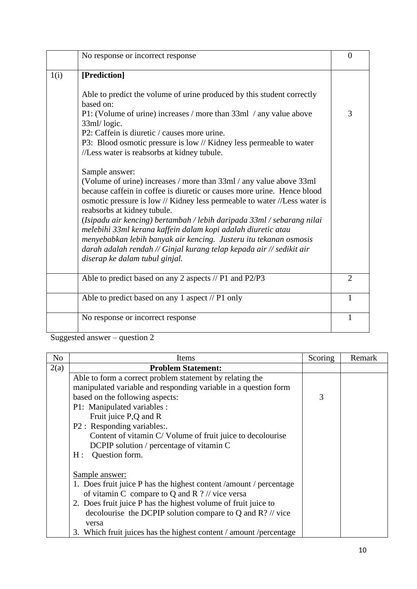|      | No response or incorrect response                                                                                                                                                                                                                                                                                                                                                                                                                                                                                                                                                                     | $\overline{0}$ |
|------|-------------------------------------------------------------------------------------------------------------------------------------------------------------------------------------------------------------------------------------------------------------------------------------------------------------------------------------------------------------------------------------------------------------------------------------------------------------------------------------------------------------------------------------------------------------------------------------------------------|----------------|
| 1(i) | [Prediction]                                                                                                                                                                                                                                                                                                                                                                                                                                                                                                                                                                                          |                |
|      | Able to predict the volume of urine produced by this student correctly<br>based on:                                                                                                                                                                                                                                                                                                                                                                                                                                                                                                                   |                |
|      | P1: (Volume of urine) increases / more than 33ml / any value above<br>33ml/logic.                                                                                                                                                                                                                                                                                                                                                                                                                                                                                                                     | 3              |
|      | P2: Caffein is diuretic / causes more urine.                                                                                                                                                                                                                                                                                                                                                                                                                                                                                                                                                          |                |
|      | P3: Blood osmotic pressure is low // Kidney less permeable to water<br>//Less water is reabsorbs at kidney tubule.                                                                                                                                                                                                                                                                                                                                                                                                                                                                                    |                |
|      | Sample answer:<br>(Volume of urine) increases / more than 33ml / any value above 33ml<br>because caffein in coffee is diuretic or causes more urine. Hence blood<br>osmotic pressure is low // Kidney less permeable to water //Less water is<br>reabsorbs at kidney tubule.<br>(Isipadu air kencing) bertambah / lebih daripada 33ml / sebarang nilai<br>melebihi 33ml kerana kaffein dalam kopi adalah diuretic atau<br>menyebabkan lebih banyak air kencing. Justeru itu tekanan osmosis<br>darah adalah rendah // Ginjal kurang telap kepada air // sedikit air<br>diserap ke dalam tubul ginjal. |                |
|      | Able to predict based on any 2 aspects // P1 and P2/P3                                                                                                                                                                                                                                                                                                                                                                                                                                                                                                                                                | $\overline{2}$ |
|      | Able to predict based on any 1 aspect // P1 only                                                                                                                                                                                                                                                                                                                                                                                                                                                                                                                                                      | $\mathbf{1}$   |
|      | No response or incorrect response                                                                                                                                                                                                                                                                                                                                                                                                                                                                                                                                                                     | $\mathbf{1}$   |

Suggested answer – question 2

| N <sub>o</sub> | Items                                                                  | Scoring | Remark |
|----------------|------------------------------------------------------------------------|---------|--------|
| 2(a)           | <b>Problem Statement:</b>                                              |         |        |
|                | Able to form a correct problem statement by relating the               |         |        |
|                | manipulated variable and responding variable in a question form        |         |        |
|                | based on the following aspects:                                        | 3       |        |
|                | P1: Manipulated variables :                                            |         |        |
|                | Fruit juice P,Q and R                                                  |         |        |
|                | P2 : Responding variables:.                                            |         |        |
|                | Content of vitamin C/Volume of fruit juice to decolourise              |         |        |
|                | DCPIP solution / percentage of vitamin C                               |         |        |
|                | Question form.<br>H:                                                   |         |        |
|                |                                                                        |         |        |
|                | Sample answer:                                                         |         |        |
|                | 1. Does fruit juice P has the highest content / amount / percentage    |         |        |
|                | of vitamin C compare to Q and R $?$ // vice versa                      |         |        |
|                | 2. Does fruit juice P has the highest volume of fruit juice to         |         |        |
|                | decolourise the DCPIP solution compare to Q and $\mathbb{R}$ ? // vice |         |        |
|                | versa                                                                  |         |        |
|                | 3. Which fruit juices has the highest content / amount / percentage    |         |        |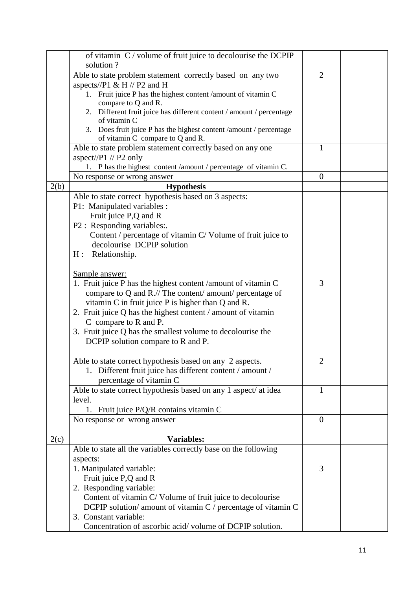|      | of vitamin C / volume of fruit juice to decolourise the DCPIP        |                  |  |
|------|----------------------------------------------------------------------|------------------|--|
|      | solution?                                                            |                  |  |
|      | Able to state problem statement correctly based on any two           | $\overline{2}$   |  |
|      | aspects//P1 & H // P2 and H                                          |                  |  |
|      | 1. Fruit juice P has the highest content /amount of vitamin C        |                  |  |
|      | compare to Q and R.                                                  |                  |  |
|      | 2. Different fruit juice has different content / amount / percentage |                  |  |
|      | of vitamin C                                                         |                  |  |
|      | 3. Does fruit juice P has the highest content /amount / percentage   |                  |  |
|      | of vitamin C compare to Q and R.                                     |                  |  |
|      | Able to state problem statement correctly based on any one           | $\mathbf{1}$     |  |
|      | aspect//P1 // P2 only                                                |                  |  |
|      | 1. P has the highest content /amount / percentage of vitamin C.      |                  |  |
|      | No response or wrong answer                                          | $\boldsymbol{0}$ |  |
| 2(b) | <b>Hypothesis</b>                                                    |                  |  |
|      | Able to state correct hypothesis based on 3 aspects:                 |                  |  |
|      | P1: Manipulated variables :                                          |                  |  |
|      | Fruit juice P,Q and R                                                |                  |  |
|      | P2 : Responding variables:.                                          |                  |  |
|      | Content / percentage of vitamin C/ Volume of fruit juice to          |                  |  |
|      | decolourise DCPIP solution                                           |                  |  |
|      | H: Relationship.                                                     |                  |  |
|      |                                                                      |                  |  |
|      | Sample answer:                                                       |                  |  |
|      |                                                                      | 3                |  |
|      | 1. Fruit juice P has the highest content /amount of vitamin C        |                  |  |
|      | compare to Q and R.// The content/ amount/ percentage of             |                  |  |
|      | vitamin C in fruit juice P is higher than Q and R.                   |                  |  |
|      | 2. Fruit juice Q has the highest content / amount of vitamin         |                  |  |
|      | C compare to R and P.                                                |                  |  |
|      | 3. Fruit juice Q has the smallest volume to decolourise the          |                  |  |
|      | DCPIP solution compare to R and P.                                   |                  |  |
|      |                                                                      |                  |  |
|      | Able to state correct hypothesis based on any 2 aspects.             | $\overline{2}$   |  |
|      | 1. Different fruit juice has different content / amount /            |                  |  |
|      | percentage of vitamin C                                              |                  |  |
|      | Able to state correct hypothesis based on any 1 aspect/ at idea      | 1                |  |
|      | level.                                                               |                  |  |
|      | 1. Fruit juice P/Q/R contains vitamin C                              |                  |  |
|      | No response or wrong answer                                          | $\overline{0}$   |  |
|      |                                                                      |                  |  |
| 2(c) | <b>Variables:</b>                                                    |                  |  |
|      | Able to state all the variables correctly base on the following      |                  |  |
|      | aspects:                                                             |                  |  |
|      | 1. Manipulated variable:                                             | 3                |  |
|      | Fruit juice P,Q and R                                                |                  |  |
|      | 2. Responding variable:                                              |                  |  |
|      |                                                                      |                  |  |
|      | Content of vitamin C/Volume of fruit juice to decolourise            |                  |  |
|      | DCPIP solution/amount of vitamin C / percentage of vitamin C         |                  |  |
|      | 3. Constant variable:                                                |                  |  |
|      | Concentration of ascorbic acid/volume of DCPIP solution.             |                  |  |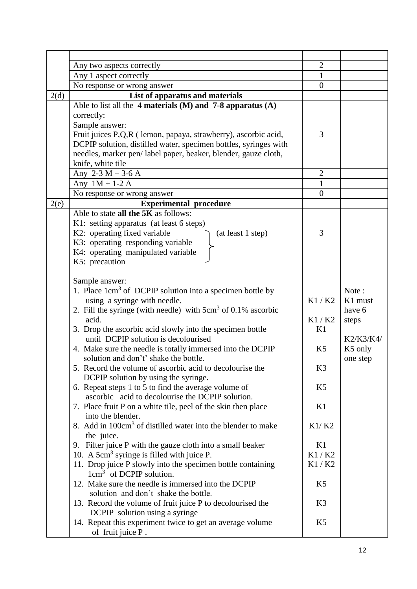|      | Any two aspects correctly                                                                         | $\overline{2}$ |           |
|------|---------------------------------------------------------------------------------------------------|----------------|-----------|
|      | Any 1 aspect correctly                                                                            | $\mathbf{1}$   |           |
|      | No response or wrong answer                                                                       | $\overline{0}$ |           |
| 2(d) | List of apparatus and materials                                                                   |                |           |
|      | Able to list all the 4 materials (M) and $7-8$ apparatus (A)                                      |                |           |
|      | correctly:                                                                                        |                |           |
|      | Sample answer:                                                                                    |                |           |
|      | Fruit juices P,Q,R (lemon, papaya, strawberry), ascorbic acid,                                    | 3              |           |
|      | DCPIP solution, distilled water, specimen bottles, syringes with                                  |                |           |
|      | needles, marker pen/label paper, beaker, blender, gauze cloth,                                    |                |           |
|      | knife, white tile                                                                                 |                |           |
|      | Any $2-3 M + 3-6 A$                                                                               | $\overline{2}$ |           |
|      | Any $1M + 1-2A$                                                                                   | $\mathbf{1}$   |           |
|      | No response or wrong answer                                                                       | $\overline{0}$ |           |
| 2(e) | <b>Experimental procedure</b>                                                                     |                |           |
|      | Able to state all the 5K as follows:                                                              |                |           |
|      | K1: setting apparatus (at least 6 steps)                                                          |                |           |
|      | K2: operating fixed variable<br>(at least 1 step)                                                 | 3              |           |
|      | K3: operating responding variable                                                                 |                |           |
|      | K4: operating manipulated variable                                                                |                |           |
|      | K5: precaution                                                                                    |                |           |
|      |                                                                                                   |                |           |
|      | Sample answer:                                                                                    |                |           |
|      | 1. Place 1cm <sup>3</sup> of DCPIP solution into a specimen bottle by                             |                | Note:     |
|      | using a syringe with needle.                                                                      | K1/K2          | K1 must   |
|      | 2. Fill the syringe (with needle) with $5 \text{cm}^3$ of 0.1% ascorbic                           |                | have 6    |
|      | acid.                                                                                             | K1/K2          | steps     |
|      | 3. Drop the ascorbic acid slowly into the specimen bottle                                         | K1             |           |
|      | until DCPIP solution is decolourised                                                              |                | K2/K3/K4/ |
|      | 4. Make sure the needle is totally immersed into the DCPIP                                        | K <sub>5</sub> | K5 only   |
|      | solution and don't' shake the bottle.<br>5. Record the volume of ascorbic acid to decolourise the | K <sub>3</sub> | one step  |
|      | DCPIP solution by using the syringe.                                                              |                |           |
|      | 6. Repeat steps 1 to 5 to find the average volume of                                              | K <sub>5</sub> |           |
|      | ascorbic acid to decolourise the DCPIP solution.                                                  |                |           |
|      | 7. Place fruit P on a white tile, peel of the skin then place                                     | K1             |           |
|      | into the blender.                                                                                 |                |           |
|      | 8. Add in 100cm <sup>3</sup> of distilled water into the blender to make                          | K1/K2          |           |
|      | the juice.                                                                                        |                |           |
|      | 9. Filter juice P with the gauze cloth into a small beaker                                        | K1             |           |
|      | 10. A $5 \text{cm}^3$ syringe is filled with juice P.                                             | K1/K2          |           |
|      | 11. Drop juice P slowly into the specimen bottle containing                                       | K1/K2          |           |
|      | $1 \text{cm}^3$ of DCPIP solution.                                                                |                |           |
|      | 12. Make sure the needle is immersed into the DCPIP                                               | K <sub>5</sub> |           |
|      | solution and don't shake the bottle.                                                              |                |           |
|      | 13. Record the volume of fruit juice P to decolourised the                                        | K3             |           |
|      | DCPIP solution using a syringe                                                                    |                |           |
|      | 14. Repeat this experiment twice to get an average volume                                         | K <sub>5</sub> |           |
|      | of fruit juice P.                                                                                 |                |           |